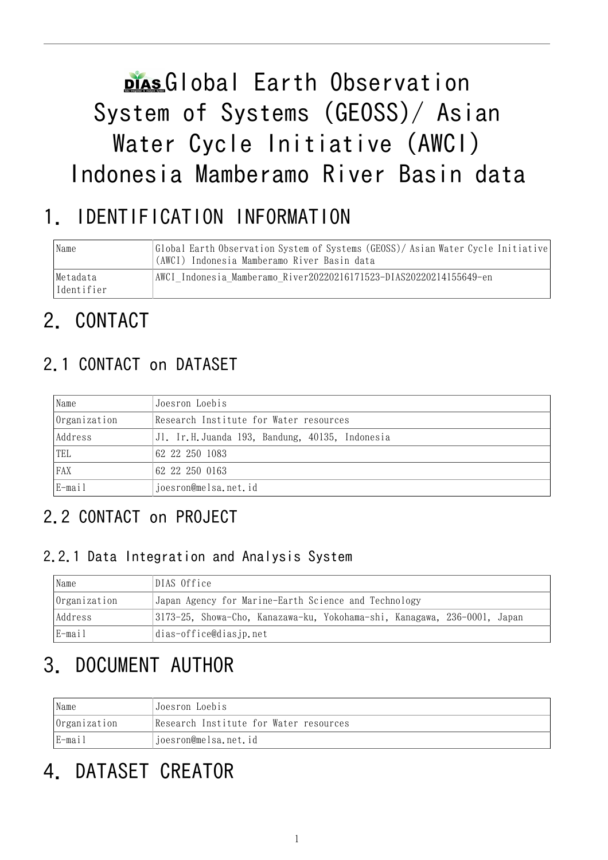# plas Global Earth Observation System of Systems (GEOSS)/ Asian Water Cycle Initiative (AWCI) Indonesia Mamberamo River Basin data

# 1. IDENTIFICATION INFORMATION

| Name                   | Global Earth Observation System of Systems (GEOSS)/Asian Water Cycle Initiative<br>(AWCI) Indonesia Mamberamo River Basin data |
|------------------------|--------------------------------------------------------------------------------------------------------------------------------|
| Metadata<br>Identifier | AWCI Indonesia Mamberamo River20220216171523-DIAS20220214155649-en                                                             |

# 2. CONTACT

## 2.1 CONTACT on DATASET

| Name             | Joesron Loebis                                 |  |
|------------------|------------------------------------------------|--|
| Organization     | Research Institute for Water resources         |  |
| Address          | Jl. Ir.H.Juanda 193, Bandung, 40135, Indonesia |  |
| <sup>1</sup> TEL | 62 22 250 1083                                 |  |
| FAX              | 62 22 250 0163                                 |  |
| $E$ -mail        | joesron@melsa.net.id                           |  |

### 2.2 CONTACT on PROJECT

### 2.2.1 Data Integration and Analysis System

| Name         | DIAS Office                                                              |  |  |
|--------------|--------------------------------------------------------------------------|--|--|
| Organization | Japan Agency for Marine-Earth Science and Technology                     |  |  |
| Address      | 3173-25, Showa-Cho, Kanazawa-ku, Yokohama-shi, Kanagawa, 236-0001, Japan |  |  |
| E-mail       | dias-office@diasjp.net                                                   |  |  |

# 3. DOCUMENT AUTHOR

| Name<br>Joesron Loebis         |                                        |
|--------------------------------|----------------------------------------|
| Organization                   | Research Institute for Water resources |
| E-mail<br>joesron@melsa.net.id |                                        |

# 4. DATASET CREATOR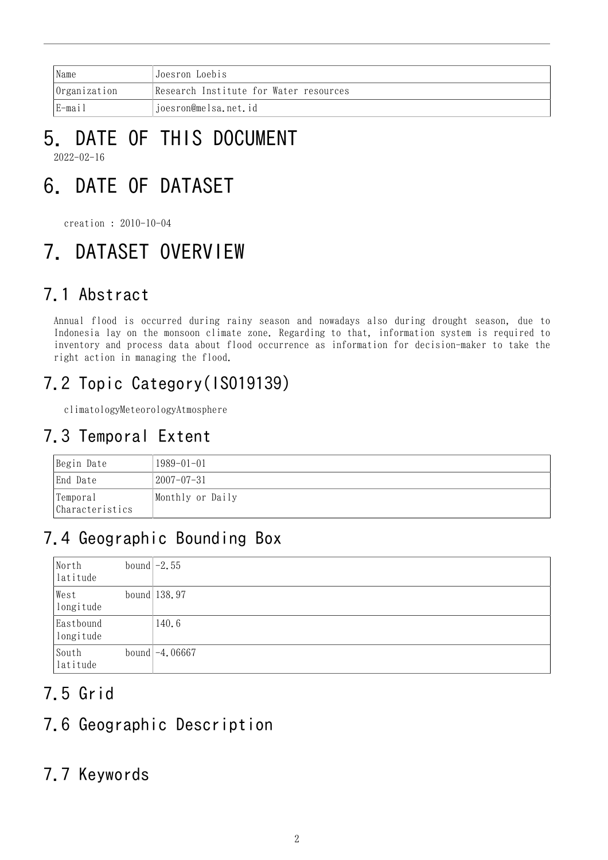|                                 | Name | <b>Joesron Loebis</b>                  |
|---------------------------------|------|----------------------------------------|
| Organization                    |      | Research Institute for Water resources |
| E-mail<br>joesron@melsa.net.id_ |      |                                        |

### 5. DATE OF THIS DOCUMENT 2022-02-16

# 6. DATE OF DATASET

creation : 2010-10-04

# 7. DATASET OVERVIEW

### 7.1 Abstract

Annual flood is occurred during rainy season and nowadays also during drought season, due to Indonesia lay on the monsoon climate zone. Regarding to that, information system is required to inventory and process data about flood occurrence as information for decision-maker to take the right action in managing the flood.

## 7.2 Topic Category(ISO19139)

climatologyMeteorologyAtmosphere

### 7.3 Temporal Extent

| Begin Date                   | $1989 - 01 - 01$ |
|------------------------------|------------------|
| End Date                     | 2007–07–31       |
| 'Temporal<br>Characteristics | Monthly or Daily |

## 7.4 Geographic Bounding Box

| North<br>latitude      | bound $-2.55$    |
|------------------------|------------------|
| West<br>longitude      | bound $ 138.97$  |
| Eastbound<br>longitude | 140.6            |
| South<br>latitude      | bound $-4.06667$ |

## 7.5 Grid

### 7.6 Geographic Description

### 7.7 Keywords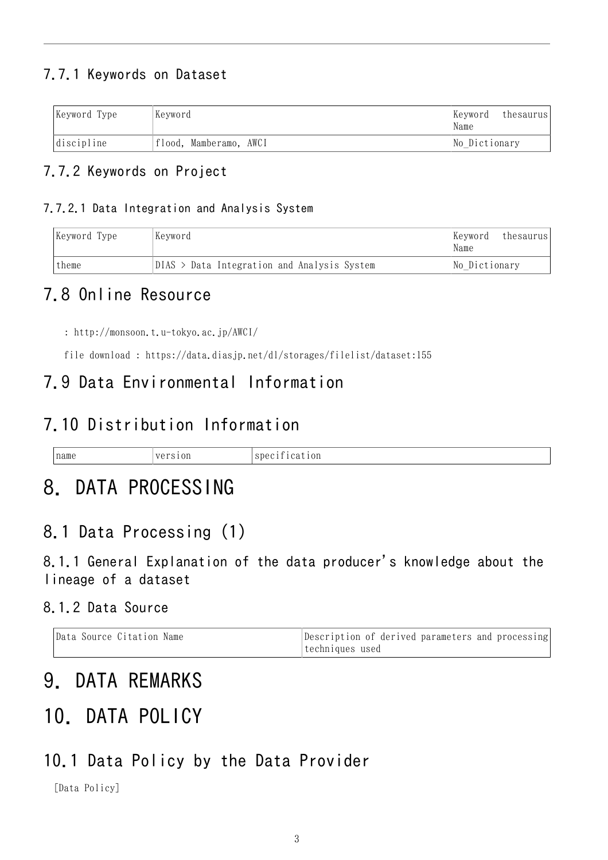### 7.7.1 Keywords on Dataset

| Keyword Type | Keyword                | Keyword<br>Name | thesaurus |
|--------------|------------------------|-----------------|-----------|
| discipline   | flood, Mamberamo, AWCI | No Dictionary   |           |

#### 7.7.2 Keywords on Project

#### 7.7.2.1 Data Integration and Analysis System

| Keyword Type | Kevword                                       |               |
|--------------|-----------------------------------------------|---------------|
| theme        | $DIAS$ > Data Integration and Analysis System | No Dictionary |

### 7.8 Online Resource

: <http://monsoon.t.u-tokyo.ac.jp/AWCI/>

file download : <https://data.diasjp.net/dl/storages/filelist/dataset:155>

### 7.9 Data Environmental Information

### 7.10 Distribution Information

| name | ---<br>$-1$<br>$\sqrt{a}$ | . .<br>10n<br>sdeo<br>ы. |
|------|---------------------------|--------------------------|
|      |                           |                          |

## 8. DATA PROCESSING

### 8.1 Data Processing (1)

8.1.1 General Explanation of the data producer's knowledge about the lineage of a dataset

#### 8.1.2 Data Source

| Data Source Citation Name | Description of derived parameters and processing |
|---------------------------|--------------------------------------------------|
|                           | techniques used                                  |

## 9. DATA REMARKS

## 10. DATA POLICY

### 10.1 Data Policy by the Data Provider

[Data Policy]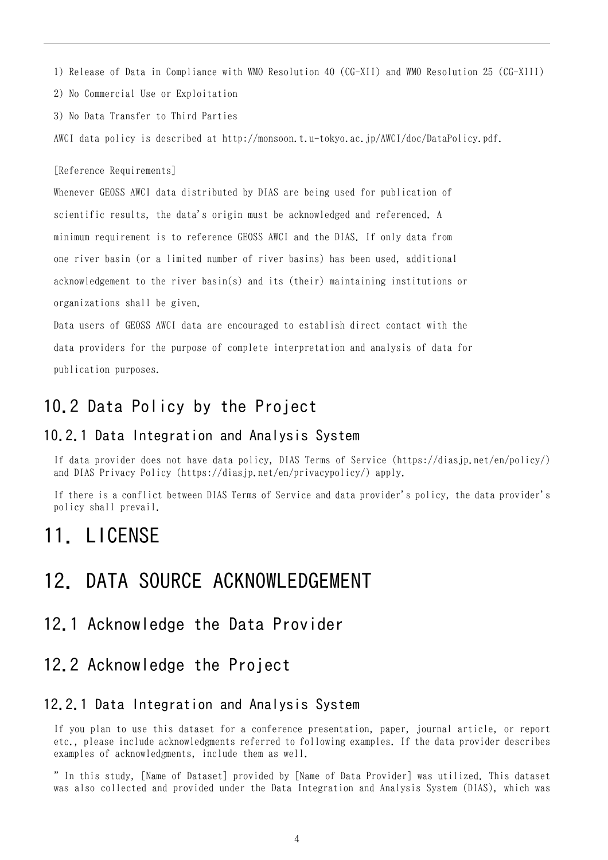1) Release of Data in Compliance with WMO Resolution 40 (CG-XII) and WMO Resolution 25 (CG-XIII)

2) No Commercial Use or Exploitation

3) No Data Transfer to Third Parties

AWCI data policy is described at http://monsoon.t.u-tokyo.ac.jp/AWCI/doc/DataPolicy.pdf.

[Reference Requirements]

Whenever GEOSS AWCI data distributed by DIAS are being used for publication of scientific results, the data's origin must be acknowledged and referenced. A minimum requirement is to reference GEOSS AWCI and the DIAS. If only data from one river basin (or a limited number of river basins) has been used, additional acknowledgement to the river basin(s) and its (their) maintaining institutions or organizations shall be given.

Data users of GEOSS AWCI data are encouraged to establish direct contact with the data providers for the purpose of complete interpretation and analysis of data for publication purposes.

### 10.2 Data Policy by the Project

#### 10.2.1 Data Integration and Analysis System

If data provider does not have data policy, DIAS Terms of Service (https://diasjp.net/en/policy/) and DIAS Privacy Policy (https://diasjp.net/en/privacypolicy/) apply.

If there is a conflict between DIAS Terms of Service and data provider's policy, the data provider's policy shall prevail.

### 11. LICENSE

### 12. DATA SOURCE ACKNOWLEDGEMENT

### 12.1 Acknowledge the Data Provider

#### 12.2 Acknowledge the Project

#### 12.2.1 Data Integration and Analysis System

If you plan to use this dataset for a conference presentation, paper, journal article, or report etc., please include acknowledgments referred to following examples. If the data provider describes examples of acknowledgments, include them as well.

" In this study, [Name of Dataset] provided by [Name of Data Provider] was utilized. This dataset was also collected and provided under the Data Integration and Analysis System (DIAS), which was